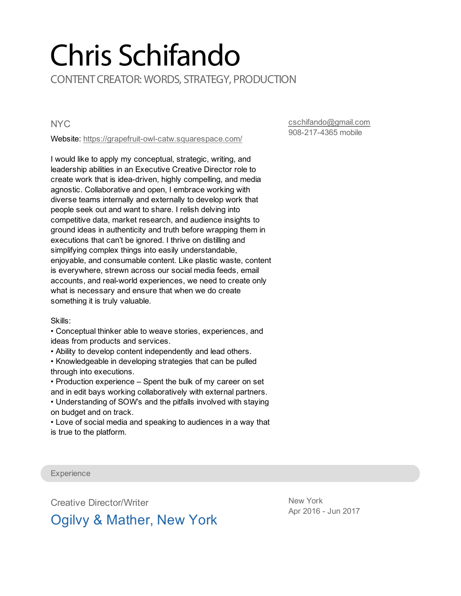# Chris Schifando CONTENT CREATOR: WORDS, STRATEGY, PRODUCTION

**NYC** 

Website: <https://grapefruit-owl-catw.squarespace.com/>

[cschifando@gmail.com](mailto:cschifando@gmail.com) 908-217-4365 mobile

I would like to apply my conceptual, strategic, writing, and leadership abilities in an Executive Creative Director role to create work that is idea-driven, highly compelling, and media agnostic. Collaborative and open, I embrace working with diverse teams internally and externally to develop work that people seek out and want to share. I relish delving into competitive data, market research, and audience insights to ground ideas in authenticity and truth before wrapping them in executions that can't be ignored. I thrive on distilling and simplifying complex things into easily understandable, enjoyable, and consumable content. Like plastic waste, content is everywhere, strewn across our social media feeds, email accounts, and real-world experiences, we need to create only what is necessary and ensure that when we do create something it is truly valuable.

Skills:

• Conceptual thinker able to weave stories, experiences, and ideas from products and services.

• Ability to develop content independently and lead others.

• Knowledgeable in developing strategies that can be pulled through into executions.

• Production experience – Spent the bulk of my career on set and in edit bays working collaboratively with external partners.

• Understanding of SOW's and the pitfalls involved with staying on budget and on track.

• Love of social media and speaking to audiences in a way that is true to the platform.

**Experience** 

Creative Director/Writer

New York Apr 2016 - Jun 2017

## Ogilvy & Mather, New York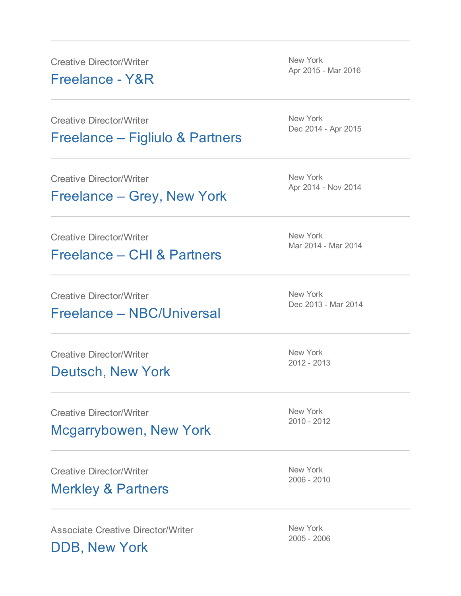Creative Director/Writer

Freelance - Y&R

New York Apr 2015 - Mar 2016

Creative Director/Writer Freelance – Figliulo & Partners

Creative Director/Writer

Freelance – Grey, New York

Creative Director/Writer

Freelance – CHI & Partners

Creative Director/Writer

#### Freelance – NBC/Universal

Creative Director/Writer Deutsch, New York

Creative Director/Writer

Mcgarrybowen, New York

Creative Director/Writer

#### Merkley & Partners

Associate Creative Director/Writer

DDB, New York

New York Dec 2014 - Apr 2015

New York Apr 2014 - Nov 2014

New York Mar 2014 - Mar 2014

New York Dec 2013 - Mar 2014

New York 2012 - 2013

New York 2010 - 2012

New York 2006 - 2010

New York 2005 - 2006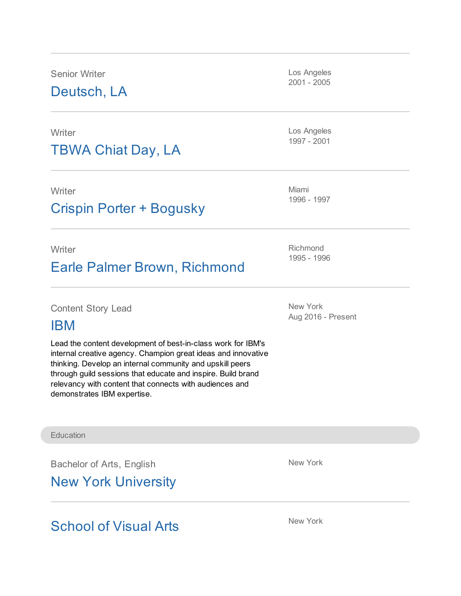Senior Writer

Deutsch, LA

**Writer** 

## TBWA Chiat Day, LA

**Writer** 

### Crispin Porter + Bogusky

**Writer** 

## Earle Palmer Brown, Richmond

Content Story Lead

#### IBM

Lead the content development of best-in-class work for IBM's internal creative agency. Champion great ideas and innovative thinking. Develop an internal community and upskill peers through guild sessions that educate and inspire. Build brand relevancy with content that connects with audiences and demonstrates IBM expertise.

**Education** 

Bachelor of Arts, English

New York University

School of Visual Arts

Los Angeles 2001 - 2005

Los Angeles 1997 - 2001

Miami 1996 - 1997

Richmond 1995 - 1996

New York Aug 2016 - Present

New York

New York